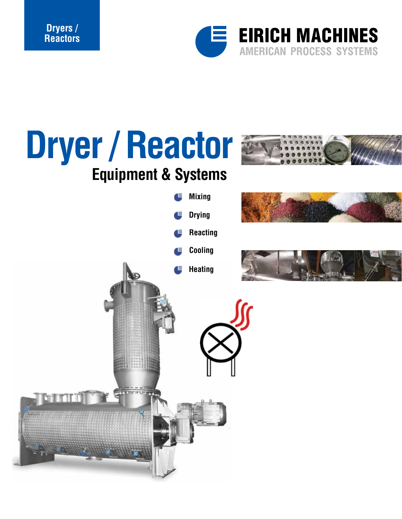



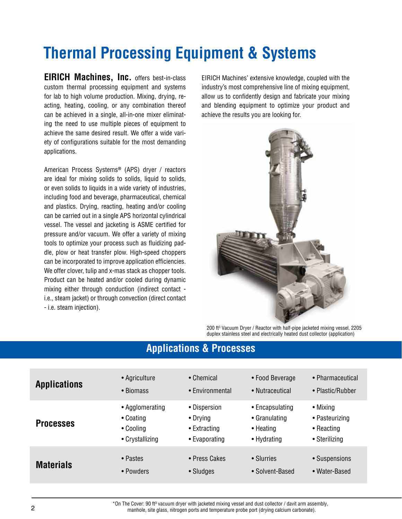# **Thermal Processing Equipment & Systems**

**EIRICH Machines, Inc.** offers best-in-class custom thermal processing equipment and systems for lab to high volume production. Mixing, drying, reacting, heating, cooling, or any combination thereof can be achieved in a single, all-in-one mixer eliminating the need to use multiple pieces of equipment to achieve the same desired result. We offer a wide variety of configurations suitable for the most demanding applications.

American Process Systems*®* (APS) dryer / reactors are ideal for mixing solids to solids, liquid to solids, or even solids to liquids in a wide variety of industries, including food and beverage, pharmaceutical, chemical and plastics. Drying, reacting, heating and/or cooling can be carried out in a single APS horizontal cylindrical vessel. The vessel and jacketing is ASME certified for pressure and/or vacuum. We offer a variety of mixing tools to optimize your process such as fluidizing paddle, plow or heat transfer plow. High-speed choppers can be incorporated to improve application efficiencies. We offer clover, tulip and x-mas stack as chopper tools. Product can be heated and/or cooled during dynamic mixing either through conduction (indirect contact i.e., steam jacket) or through convection (direct contact - i.e. steam injection).

EIRICH Machines' extensive knowledge, coupled with the industry's most comprehensive line of mixing equipment, allow us to confidently design and fabricate your mixing and blending equipment to optimize your product and achieve the results you are looking for.



200 ft3 Vacuum Dryer / Reactor with half-pipe jacketed mixing vessel, 2205 duplex stainless steel and electrically heated dust collector (application)

## **Applications & Processes**

| <b>Applications</b> | • Agriculture   | $\bullet$ Chemical | • Food Beverage | • Pharmaceutical |
|---------------------|-----------------|--------------------|-----------------|------------------|
|                     | • Biomass       | • Environmental    | • Nutraceutical | • Plastic/Rubber |
| <b>Processes</b>    | • Agglomerating | • Dispersion       | • Encapsulating | • Mixing         |
|                     | • Coating       | $\bullet$ Drying   | • Granulating   | • Pasteurizing   |
|                     | • Cooling       | • Extracting       | • Heating       | • Reacting       |
|                     | • Crystallizing | • Evaporating      | • Hydrating     | • Sterilizing    |
| <b>Materials</b>    | • Pastes        | • Press Cakes      | • Slurries      | • Suspensions    |
|                     | • Powders       | • Sludges          | • Solvent-Based | • Water-Based    |

\*On The Cover: 90 ft³ vacuum dryer with jacketed mixing vessel and dust collector / davit arm assembly, manhole, site glass, nitrogen ports and temperature probe port (drying calcium carbonate).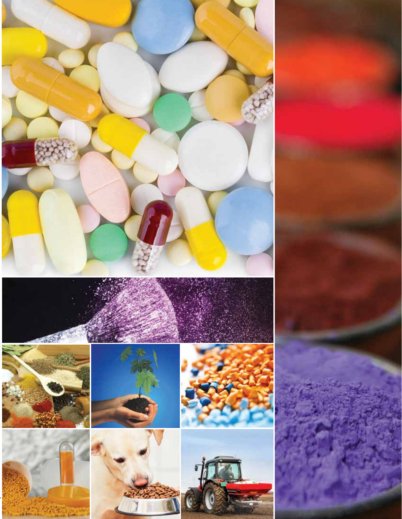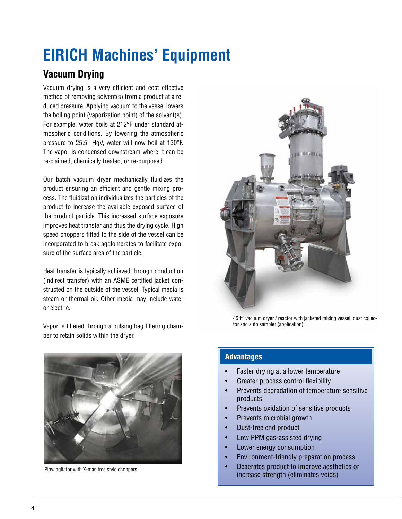# **EIRICH Machines' Equipment**

### **Vacuum Drying**

Vacuum drying is a very efficient and cost effective method of removing solvent(s) from a product at a reduced pressure. Applying vacuum to the vessel lowers the boiling point (vaporization point) of the solvent(s). For example, water boils at 212°F under standard atmospheric conditions. By lowering the atmospheric pressure to 25.5" HgV, water will now boil at 130°F. The vapor is condensed downstream where it can be re-claimed, chemically treated, or re-purposed.

Our batch vacuum dryer mechanically fluidizes the product ensuring an efficient and gentle mixing process. The fluidization individualizes the particles of the product to increase the available exposed surface of the product particle. This increased surface exposure improves heat transfer and thus the drying cycle. High speed choppers fitted to the side of the vessel can be incorporated to break agglomerates to facilitate exposure of the surface area of the particle.

Heat transfer is typically achieved through conduction (indirect transfer) with an ASME certified jacket constructed on the outside of the vessel. Typical media is steam or thermal oil. Other media may include water or electric.

Vapor is filtered through a pulsing bag filtering chamber to retain solids within the dryer.





 $45$  ft $^{\rm 3}$  vacuum dryer / reactor with jacketed mixing vessel, dust collector and auto sampler (application)

#### **Advantages**

- Faster drying at a lower temperature
- Greater process control flexibility
- Prevents degradation of temperature sensitive products
- Prevents oxidation of sensitive products
- Prevents microbial growth
- Dust-free end product
- Low PPM gas-assisted drying
- Lower energy consumption
- Environment-friendly preparation process
- Deaerates product to improve aesthetics or Plow agitator with X-mas tree style choppers<br>increase strength (eliminates voids)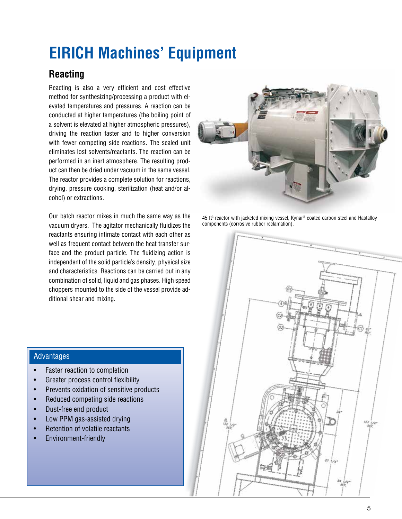# **EIRICH Machines' Equipment**

### **Reacting**

Reacting is also a very efficient and cost effective method for synthesizing/processing a product with elevated temperatures and pressures. A reaction can be conducted at higher temperatures (the boiling point of a solvent is elevated at higher atmospheric pressures), driving the reaction faster and to higher conversion with fewer competing side reactions. The sealed unit eliminates lost solvents/reactants. The reaction can be performed in an inert atmosphere. The resulting product can then be dried under vacuum in the same vessel. The reactor provides a complete solution for reactions, drying, pressure cooking, sterilization (heat and/or alcohol) or extractions.

Our batch reactor mixes in much the same way as the vacuum dryers. The agitator mechanically fluidizes the reactants ensuring intimate contact with each other as well as frequent contact between the heat transfer surface and the product particle. The fluidizing action is independent of the solid particle's density, physical size and characteristics. Reactions can be carried out in any combination of solid, liquid and gas phases. High speed choppers mounted to the side of the vessel provide additional shear and mixing.

#### Advantages

- Faster reaction to completion
- Greater process control flexibility
- Prevents oxidation of sensitive products
- Reduced competing side reactions
- Dust-free end product
- Low PPM gas-assisted drying
- Retention of volatile reactants
- Environment-friendly



 $45$  ft<sup>3</sup> reactor with jacketed mixing vessel, Kynar® coated carbon steel and Hastalloy components (corrosive rubber reclamation).

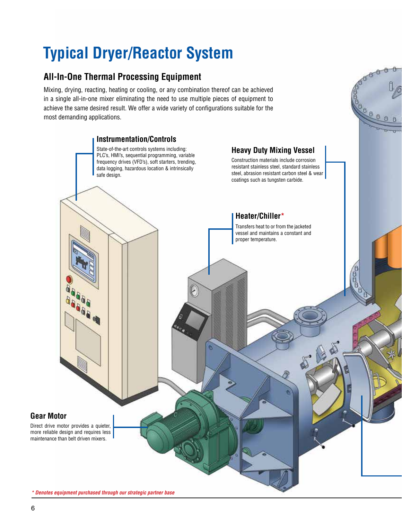# **Typical Dryer/Reactor System**

### **All-In-One Thermal Processing Equipment**

Mixing, drying, reacting, heating or cooling, or any combination thereof can be achieved in a single all-in-one mixer eliminating the need to use multiple pieces of equipment to achieve the same desired result. We offer a wide variety of configurations suitable for the most demanding applications.



**00000** 

 $000$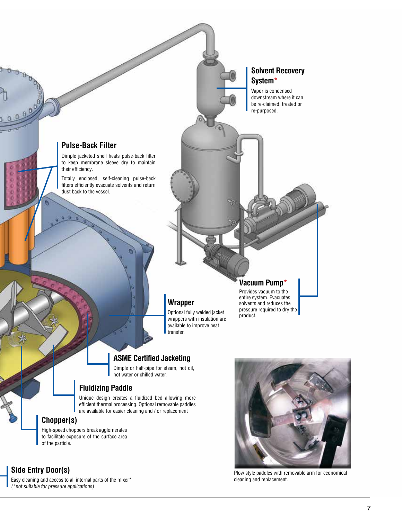

entire system. Evacuates solvents and reduces the pressure required to dry the

product.

transfer.

**Wrapper** Optional fully welded jacket wrappers with insulation are available to improve heat

#### **ASME Certified Jacketing**

Dimple or half-pipe for steam, hot oil, hot water or chilled water.

#### **Fluidizing Paddle**

Unique design creates a fluidized bed allowing more efficient thermal processing. Optional removable paddles are available for easier cleaning and / or replacement

#### **Chopper(s)**

High-speed choppers break agglomerates to facilitate exposure of the surface area of the particle.

**Pulse-Back Filter**

dust back to the vessel.

their efficiency.

Dimple jacketed shell heats pulse-back filter to keep membrane sleeve dry to maintain

Totally enclosed, self-cleaning pulse-back filters efficiently evacuate solvents and return

#### **Side Entry Door(s)**

Easy cleaning and access to all internal parts of the mixer\* (\*not suitable for pressure applications)



Plow style paddles with removable arm for economical cleaning and replacement.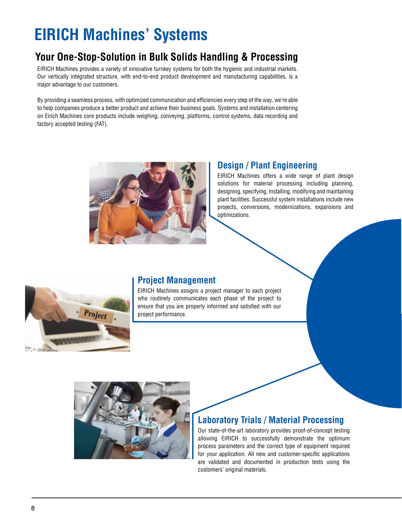# **EIRICH Machines' Systems**

# **Your One-Stop-Solution in Bulk Solids Handling & Processing**

EIRICH Machines provides a variety of innovative turnkey systems for both the hygienic and industrial markets. Our vertically integrated structure, with end-to-end product development and manufacturing capabilities, is a major advantage to our customers.

By providing a seamless process, with optimized communication and efficiencies every step of the way, we're able to help companies produce a better product and achieve their business goals. Systems and installation centering on Eirich Machines core products include weighing, conveying, platforms, control systems, data recording and factory accepted testing (FAT).



### **Design / Plant Engineering**

EIRICH Machines offers a wide range of plant design solutions for material processing including planning, designing, specifying, installing, modifying and maintaining plant facilities. Successful system installations include new projects, conversions, modernizations, expansions and optimizations.



### **Project Management**

EIRICH Machines assigns a project manager to each project who routinely communicates each phase of the project to ensure that you are properly informed and satisfied with our project performance.



### **Laboratory Trials / Material Processing**

Our state-of-the-art laboratory provides proof-of-concept testing allowing EIRICH to successfully demonstrate the optimum process parameters and the correct type of equipment required for your application. All new and customer-specific applications are validated and documented in production tests using the customers' original materials.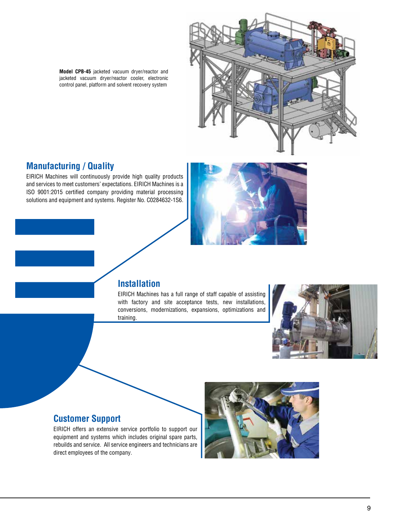



#### **Manufacturing / Quality**

EIRICH Machines will continuously provide high quality products and services to meet customers' expectations. EIRICH Machines is a ISO 9001:2015 certified company providing material processing solutions and equipment and systems. Register No. C0284632-1S6.



### **Installation**

EIRICH Machines has a full range of staff capable of assisting with factory and site acceptance tests, new installations, conversions, modernizations, expansions, optimizations and training.



### **Customer Support**

EIRICH offers an extensive service portfolio to support our equipment and systems which includes original spare parts, rebuilds and service. All service engineers and technicians are direct employees of the company.

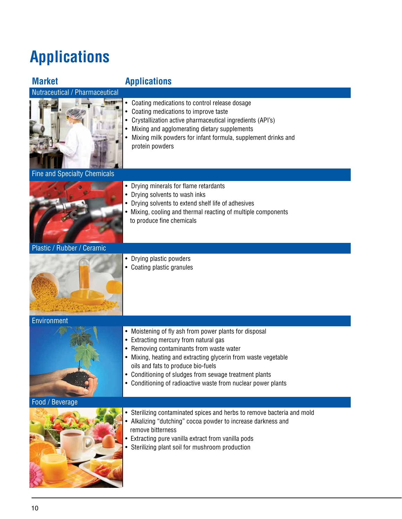# **Applications**

| VТ | lar |  |  |  |
|----|-----|--|--|--|

# **Applications**

| <b>Nutraceutical / Pharmaceutical</b> |                                                                                                                                                                                                                                                                                                                                                                                             |
|---------------------------------------|---------------------------------------------------------------------------------------------------------------------------------------------------------------------------------------------------------------------------------------------------------------------------------------------------------------------------------------------------------------------------------------------|
|                                       | Coating medications to control release dosage<br>Coating medications to improve taste<br>Crystallization active pharmaceutical ingredients (API's)<br>Mixing and agglomerating dietary supplements<br>Mixing milk powders for infant formula, supplement drinks and<br>protein powders                                                                                                      |
| <b>Fine and Specialty Chemicals</b>   |                                                                                                                                                                                                                                                                                                                                                                                             |
|                                       | Drying minerals for flame retardants<br>$\bullet$<br>Drying solvents to wash inks<br>• Drying solvents to extend shelf life of adhesives<br>Mixing, cooling and thermal reacting of multiple components<br>to produce fine chemicals                                                                                                                                                        |
| Plastic / Rubber / Ceramic            |                                                                                                                                                                                                                                                                                                                                                                                             |
|                                       | Drying plastic powders<br>• Coating plastic granules                                                                                                                                                                                                                                                                                                                                        |
| Environment                           |                                                                                                                                                                                                                                                                                                                                                                                             |
|                                       | Moistening of fly ash from power plants for disposal<br>Extracting mercury from natural gas<br>$\bullet$<br>Removing contaminants from waste water<br>٠<br>Mixing, heating and extracting glycerin from waste vegetable<br>٠<br>oils and fats to produce bio-fuels<br>• Conditioning of sludges from sewage treatment plants<br>Conditioning of radioactive waste from nuclear power plants |
| Food / Beverage                       |                                                                                                                                                                                                                                                                                                                                                                                             |
|                                       | Sterilizing contaminated spices and herbs to remove bacteria and mold<br>Alkalizing "dutching" cocoa powder to increase darkness and<br>remove bitterness<br>• Extracting pure vanilla extract from vanilla pods<br>• Sterilizing plant soil for mushroom production                                                                                                                        |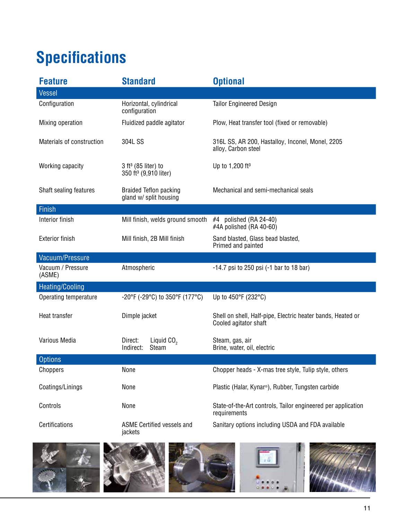# **Specifications**

| <b>Feature</b>              | <b>Standard</b>                                                        | <b>Optional</b>                                                                      |  |  |  |
|-----------------------------|------------------------------------------------------------------------|--------------------------------------------------------------------------------------|--|--|--|
| Vessel                      |                                                                        |                                                                                      |  |  |  |
| Configuration               | Horizontal, cylindrical<br>configuration                               | <b>Tailor Engineered Design</b>                                                      |  |  |  |
| Mixing operation            | Fluidized paddle agitator                                              | Plow, Heat transfer tool (fixed or removable)                                        |  |  |  |
| Materials of construction   | 304L SS                                                                | 316L SS, AR 200, Hastalloy, Inconel, Monel, 2205<br>alloy, Carbon steel              |  |  |  |
| Working capacity            | $3$ ft <sup>3</sup> (85 liter) to<br>350 ft <sup>3</sup> (9,910 liter) | Up to 1,200 ft <sup>3</sup>                                                          |  |  |  |
| Shaft sealing features      | <b>Braided Teflon packing</b><br>gland w/ split housing                | Mechanical and semi-mechanical seals                                                 |  |  |  |
| Finish                      |                                                                        |                                                                                      |  |  |  |
| Interior finish             | Mill finish, welds ground smooth                                       | $#4$ polished (RA 24-40)<br>#4A polished (RA 40-60)                                  |  |  |  |
| <b>Exterior finish</b>      | Mill finish, 2B Mill finish                                            | Sand blasted, Glass bead blasted,<br>Primed and painted                              |  |  |  |
| Vacuum/Pressure             |                                                                        |                                                                                      |  |  |  |
| Vacuum / Pressure<br>(ASME) | Atmospheric                                                            | $-14.7$ psi to 250 psi $(-1$ bar to 18 bar)                                          |  |  |  |
| Heating/Cooling             |                                                                        |                                                                                      |  |  |  |
| Operating temperature       | -20°F (-29°C) to 350°F (177°C)                                         | Up to 450°F (232°C)                                                                  |  |  |  |
| Heat transfer               | Dimple jacket                                                          | Shell on shell, Half-pipe, Electric heater bands, Heated or<br>Cooled agitator shaft |  |  |  |
| Various Media               | Direct:<br>Liquid $CO2$<br>Indirect:<br>Steam                          | Steam, gas, air<br>Brine, water, oil, electric                                       |  |  |  |
| <b>Options</b>              |                                                                        |                                                                                      |  |  |  |
| Choppers                    | None                                                                   | Chopper heads - X-mas tree style, Tulip style, others                                |  |  |  |
| Coatings/Linings            | None                                                                   | Plastic (Halar, Kynar <sup>®</sup> ), Rubber, Tungsten carbide                       |  |  |  |
| Controls                    | None                                                                   | State-of-the-Art controls, Tailor engineered per application<br>requirements         |  |  |  |
| Certifications              | <b>ASME Certified vessels and</b><br>jackets                           | Sanitary options including USDA and FDA available                                    |  |  |  |